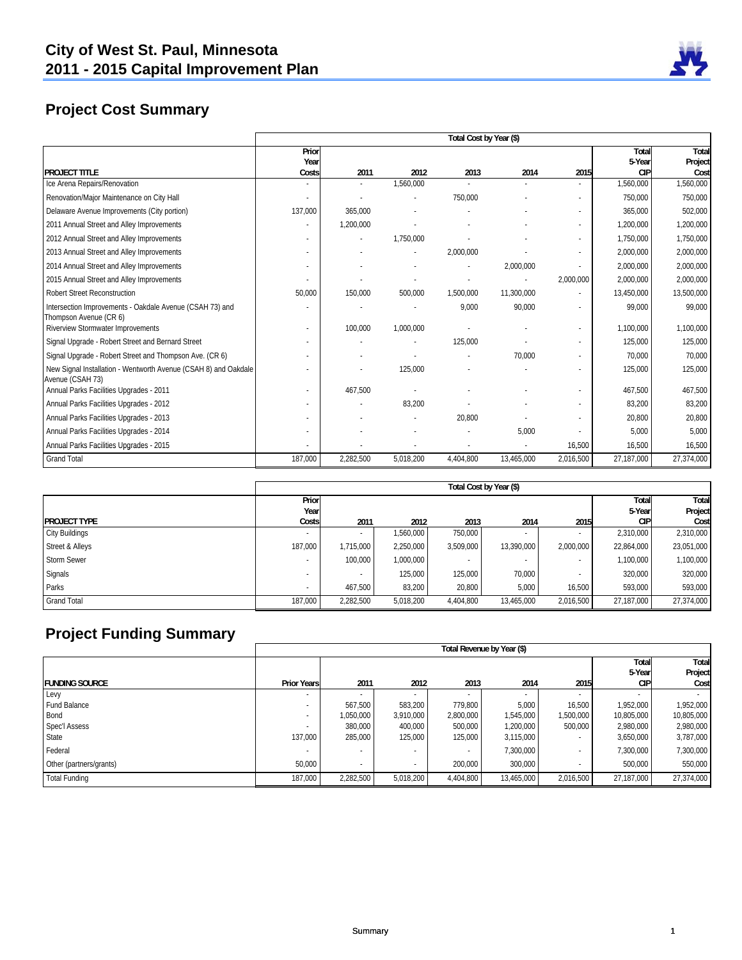

# **Project Cost Summary**

|                                                                                     |         |           |           | Total Cost by Year (\$) |            |           |            |            |
|-------------------------------------------------------------------------------------|---------|-----------|-----------|-------------------------|------------|-----------|------------|------------|
|                                                                                     | Prior   |           |           |                         |            |           | Total      | Total      |
|                                                                                     | Year    |           |           |                         |            |           | 5-Year     | Project    |
| <b>PROJECT TITLE</b>                                                                | Costs   | 2011      | 2012      | 2013                    | 2014       | 2015      | <b>CIP</b> | Cost       |
| Ice Arena Repairs/Renovation                                                        |         |           | 1,560,000 |                         |            |           | 1,560,000  | 1,560,000  |
| Renovation/Major Maintenance on City Hall                                           |         |           |           | 750,000                 |            |           | 750,000    | 750,000    |
| Delaware Avenue Improvements (City portion)                                         | 137,000 | 365.000   |           |                         |            | $\sim$    | 365,000    | 502,000    |
| 2011 Annual Street and Alley Improvements                                           |         | 1,200,000 |           |                         |            | $\sim$    | 1,200,000  | 1,200,000  |
| 2012 Annual Street and Alley Improvements                                           |         |           | 1,750,000 |                         |            | $\sim$    | 1,750,000  | 1,750,000  |
| 2013 Annual Street and Alley Improvements                                           |         |           |           | 2,000,000               |            | ٠         | 2,000,000  | 2,000,000  |
| 2014 Annual Street and Alley Improvements                                           |         |           |           |                         | 2,000,000  |           | 2,000,000  | 2,000,000  |
| 2015 Annual Street and Alley Improvements                                           |         |           |           |                         |            | 2,000,000 | 2,000,000  | 2,000,000  |
| <b>Robert Street Reconstruction</b>                                                 | 50.000  | 150,000   | 500,000   | 1,500,000               | 11,300,000 |           | 13,450,000 | 13,500,000 |
| Intersection Improvements - Oakdale Avenue (CSAH 73) and<br>Thompson Avenue (CR 6)  |         |           |           | 9,000                   | 90,000     |           | 99,000     | 99,000     |
| <b>Riverview Stormwater Improvements</b>                                            |         | 100,000   | 1,000,000 |                         |            |           | 1,100,000  | 1,100,000  |
| Signal Upgrade - Robert Street and Bernard Street                                   |         |           |           | 125,000                 |            |           | 125,000    | 125,000    |
| Signal Upgrade - Robert Street and Thompson Ave. (CR 6)                             |         |           |           |                         | 70.000     |           | 70,000     | 70,000     |
| New Signal Installation - Wentworth Avenue (CSAH 8) and Oakdale<br>Avenue (CSAH 73) |         |           | 125,000   |                         |            |           | 125,000    | 125,000    |
| Annual Parks Facilities Upgrades - 2011                                             |         | 467.500   |           |                         |            |           | 467,500    | 467,500    |
| Annual Parks Facilities Upgrades - 2012                                             |         |           | 83.200    |                         |            |           | 83,200     | 83,200     |
| Annual Parks Facilities Upgrades - 2013                                             |         |           |           | 20,800                  |            |           | 20,800     | 20,800     |
| Annual Parks Facilities Upgrades - 2014                                             |         |           |           |                         | 5.000      |           | 5.000      | 5,000      |
| Annual Parks Facilities Upgrades - 2015                                             |         |           |           |                         |            | 16,500    | 16,500     | 16,500     |
| <b>Grand Total</b>                                                                  | 187,000 | 2,282,500 | 5,018,200 | 4,404,800               | 13,465,000 | 2,016,500 | 27,187,000 | 27,374,000 |

|                       |         |           |           |           | Total Cost by Year (\$) |           |            |            |
|-----------------------|---------|-----------|-----------|-----------|-------------------------|-----------|------------|------------|
|                       | Prior   |           |           |           |                         |           | Total      | Total      |
|                       | Year    |           |           |           |                         |           | 5-Year     | Project    |
| <b>PROJECT TYPE</b>   | Costs   | 2011      | 2012      | 2013      | 2014                    | 2015      | СIР        | Cost       |
| <b>City Buildings</b> |         |           | 1,560,000 | 750,000   |                         |           | 2,310,000  | 2,310,000  |
| Street & Alleys       | 187,000 | 1,715,000 | 2,250,000 | 3,509,000 | 13,390,000              | 2,000,000 | 22,864,000 | 23,051,000 |
| <b>Storm Sewer</b>    |         | 100.000   | 1,000,000 |           |                         |           | 1,100,000  | 1,100,000  |
| Signals               |         |           | 125,000   | 125,000   | 70,000                  |           | 320,000    | 320,000    |
| Parks                 |         | 467,500   | 83,200    | 20,800    | 5,000                   | 16,500    | 593,000    | 593,000    |
| <b>Grand Total</b>    | 187.000 | 2,282,500 | 5,018,200 | 4,404,800 | 13,465,000              | 2,016,500 | 27,187,000 | 27,374,000 |

# **Project Funding Summary**

|                         |                          | Total Revenue by Year (\$) |           |           |                          |                          |              |            |
|-------------------------|--------------------------|----------------------------|-----------|-----------|--------------------------|--------------------------|--------------|------------|
|                         |                          |                            |           |           |                          |                          | <b>Total</b> | Total      |
|                         |                          |                            |           |           |                          |                          | 5-Year       | Project    |
| <b>FUNDING SOURCE</b>   | <b>Prior Years</b>       | 2011                       | 2012      | 2013      | 2014                     | 2015                     | <b>CIP</b>   | Cost       |
| Levy                    | $\overline{\phantom{0}}$ |                            |           |           | $\overline{\phantom{a}}$ | $\sim$                   |              |            |
| Fund Balance            | $\overline{\phantom{a}}$ | 567,500                    | 583.200   | 779.800   | 5,000                    | 16.500                   | 1,952,000    | 1,952,000  |
| Bond                    |                          | 1,050,000                  | 3,910,000 | 2,800,000 | 1,545,000                | 1,500,000                | 10,805,000   | 10,805,000 |
| <b>Spec'l Assess</b>    |                          | 380,000                    | 400,000   | 500,000   | 1,200,000                | 500,000                  | 2,980,000    | 2,980,000  |
| State                   | 137.000                  | 285,000                    | 125,000   | 125,000   | 3,115,000                | $\overline{\phantom{a}}$ | 3,650,000    | 3,787,000  |
| Federal                 |                          |                            |           |           | 7,300,000                |                          | 7,300,000    | 7,300,000  |
| Other (partners/grants) | 50.000                   |                            |           | 200,000   | 300,000                  |                          | 500.000      | 550,000    |
| <b>Total Funding</b>    | 187,000                  | 2,282,500                  | 5,018,200 | 4,404,800 | 13,465,000               | 2,016,500                | 27,187,000   | 27,374,000 |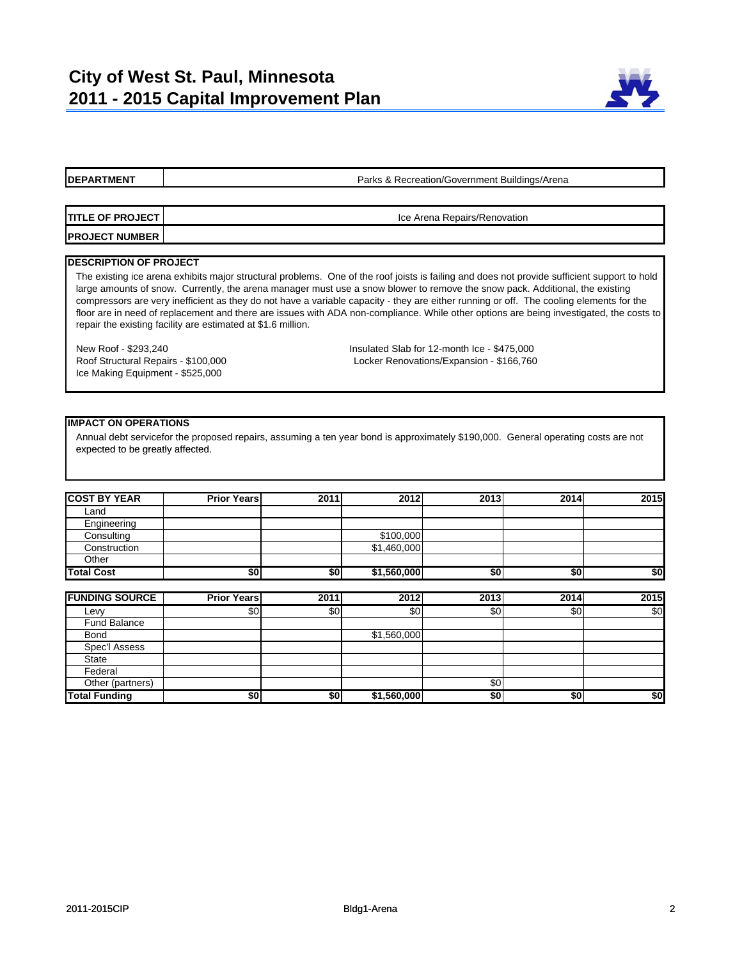

Parks & Recreation/Government Buildings/Arena

**TITLE OF PROJECT PROJECT NUMBER** Ice Arena Repairs/Renovation

#### **DESCRIPTION OF PROJECT**

The existing ice arena exhibits major structural problems. One of the roof joists is failing and does not provide sufficient support to hold large amounts of snow. Currently, the arena manager must use a snow blower to remove the snow pack. Additional, the existing compressors are very inefficient as they do not have a variable capacity - they are either running or off. The cooling elements for the floor are in need of replacement and there are issues with ADA non-compliance. While other options are being investigated, the costs to repair the existing facility are estimated at \$1.6 million.

Ice Making Equipment - \$525,000

New Roof - \$293,240 Insulated Slab for 12-month Ice - \$475,000 Roof Structural Repairs - \$100,000 Locker Renovations/Expansion - \$166,760

#### **IMPACT ON OPERATIONS**

Annual debt servicefor the proposed repairs, assuming a ten year bond is approximately \$190,000. General operating costs are not expected to be greatly affected expected to be greatly affected.

| <b>COST BY YEAR</b> | <b>Prior Years</b> | 2011 | 2012        | 2013 | 2014 | 2015 |
|---------------------|--------------------|------|-------------|------|------|------|
| Land                |                    |      |             |      |      |      |
| Engineering         |                    |      |             |      |      |      |
| Consulting          |                    |      | \$100,000   |      |      |      |
| Construction        |                    |      | \$1,460,000 |      |      |      |
| Other               |                    |      |             |      |      |      |
| <b>Total Cost</b>   | \$0                | \$0  | \$1,560,000 | \$0  | \$0  | \$0  |

| <b>FUNDING SOURCE</b> | <b>Prior Years</b> | 2011 | 2012        | 2013 | 2014 | 2015 |
|-----------------------|--------------------|------|-------------|------|------|------|
| Levy                  | \$0                | \$0  | \$0         | \$0  | \$0  | \$0  |
| <b>Fund Balance</b>   |                    |      |             |      |      |      |
| <b>Bond</b>           |                    |      | \$1,560,000 |      |      |      |
| Spec'l Assess         |                    |      |             |      |      |      |
| <b>State</b>          |                    |      |             |      |      |      |
| Federal               |                    |      |             |      |      |      |
| Other (partners)      |                    |      |             | \$0  |      |      |
| <b>Total Funding</b>  | \$0                | \$0  | \$1,560,000 | \$0  | \$0  | \$0  |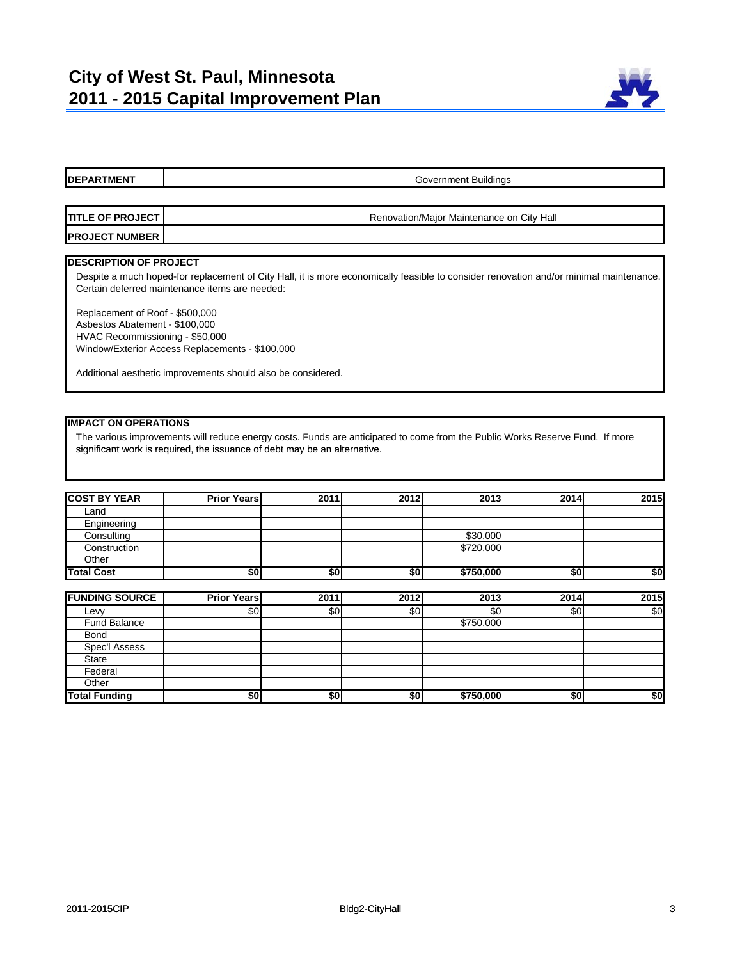

**DEPARTMENT TITLE OF PROJECT PROJECT NUMBER DESCRIPTION OF PROJECT** Government Buildings Renovation/Major Maintenance on City Hall Despite a much hoped-for replacement of City Hall, it is more economically feasible to consider renovation and/or minimal maintenance. Certain deferred maintenance items are needed: Replacement of Roof - \$500,000 Asbestos Abatement - \$100,000 HVAC Recommissioning - \$50,000 Window/Exterior Access Replacements - \$100,000 Additional aesthetic improvements should also be considered.

**IMPACT ON OPERATIONS**

The various improvements will reduce energy costs. Funds are anticipated to come from the Public Works Reserve Fund. If more significant work is required, the issuance of debt may be an alternative.

| <b>COST BY YEAR</b> | <b>Prior Years</b> | 2011 | 2012 | 2013      | 2014 | 2015 |
|---------------------|--------------------|------|------|-----------|------|------|
| Land                |                    |      |      |           |      |      |
| Engineering         |                    |      |      |           |      |      |
| Consulting          |                    |      |      | \$30,000  |      |      |
| Construction        |                    |      |      | \$720,000 |      |      |
| Other               |                    |      |      |           |      |      |
| <b>Total Cost</b>   | \$0                | \$0  | \$0  | \$750,000 | \$0  | \$0  |

| <b>FUNDING SOURCE</b> | <b>Prior Years</b> | 2011 | 2012 | 2013      | 2014 | 2015 |
|-----------------------|--------------------|------|------|-----------|------|------|
| Levy                  | \$0                | \$0  | \$0  | \$0       | \$0  | \$0  |
| <b>Fund Balance</b>   |                    |      |      | \$750,000 |      |      |
| <b>Bond</b>           |                    |      |      |           |      |      |
| Spec'l Assess         |                    |      |      |           |      |      |
| <b>State</b>          |                    |      |      |           |      |      |
| Federal               |                    |      |      |           |      |      |
| Other                 |                    |      |      |           |      |      |
| <b>Total Funding</b>  | \$0                | \$0  | \$0  | \$750,000 | \$0  | \$0  |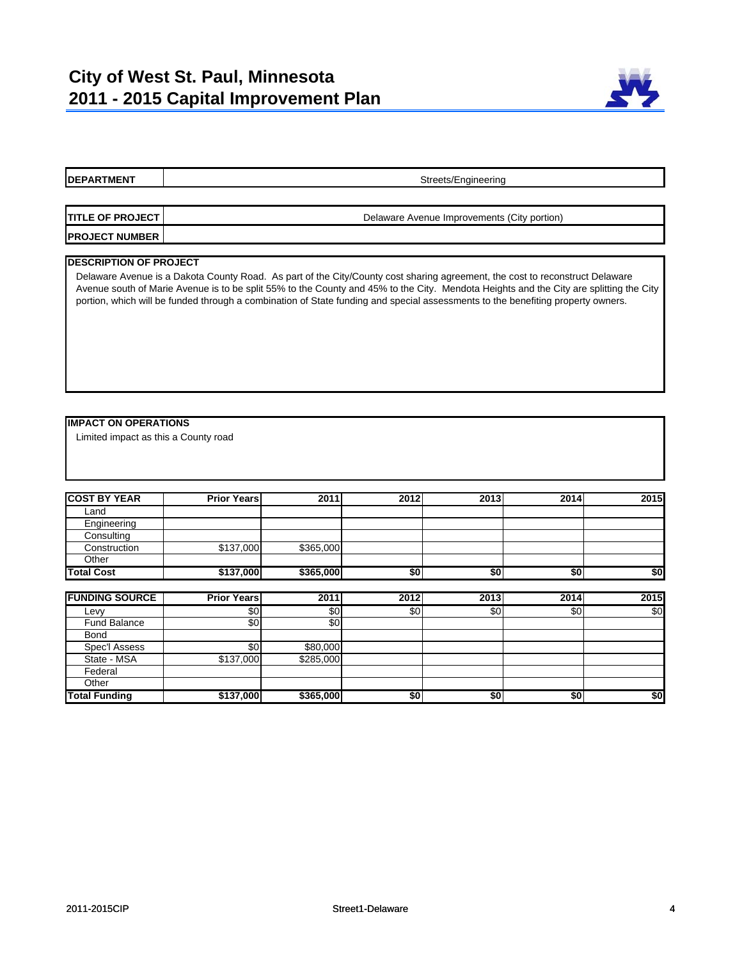

Streets/Engineering

| <b>TITLE OF PROJECT I</b> | Delaware Avenue Improvements (City portion) |
|---------------------------|---------------------------------------------|
| <b>PROJECT NUMBER</b>     |                                             |

#### **DESCRIPTION OF PROJECT**

Delaware Avenue is a Dakota County Road. As part of the City/County cost sharing agreement, the cost to reconstruct Delaware Avenue south of Marie Avenue is to be split 55% to the County and 45% to the City. Mendota Heights and the City are splitting the City portion, which will be funded through a combination of State funding and special assessments to the benefiting property owners.

#### **IMPACT ON OPERATIONS**

Limited impact as this a County road

| <b>COST BY YEAR</b> | <b>Prior Years</b> | 2011      | 2012 | 2013 | 2014 | 2015 |
|---------------------|--------------------|-----------|------|------|------|------|
| Land                |                    |           |      |      |      |      |
| Engineering         |                    |           |      |      |      |      |
| Consulting          |                    |           |      |      |      |      |
| Construction        | \$137,000          | \$365,000 |      |      |      |      |
| Other               |                    |           |      |      |      |      |
| <b>Total Cost</b>   | \$137,000          | \$365,000 | \$0  | \$0  | \$0  | \$0  |

| <b>FUNDING SOURCE</b> | <b>Prior Years</b> | 2011      | 2012 | 2013 | 2014 | 2015 |
|-----------------------|--------------------|-----------|------|------|------|------|
| Levv                  | \$0                | \$0       | \$0  | \$0  | \$0  | \$0  |
| Fund Balance          | \$0                | \$0       |      |      |      |      |
| <b>Bond</b>           |                    |           |      |      |      |      |
| Spec'l Assess         | \$0                | \$80,000  |      |      |      |      |
| State - MSA           | \$137,000          | \$285,000 |      |      |      |      |
| Federal               |                    |           |      |      |      |      |
| Other                 |                    |           |      |      |      |      |
| <b>Total Funding</b>  | \$137,000          | \$365,000 | \$0  | \$0  | \$0  | \$0  |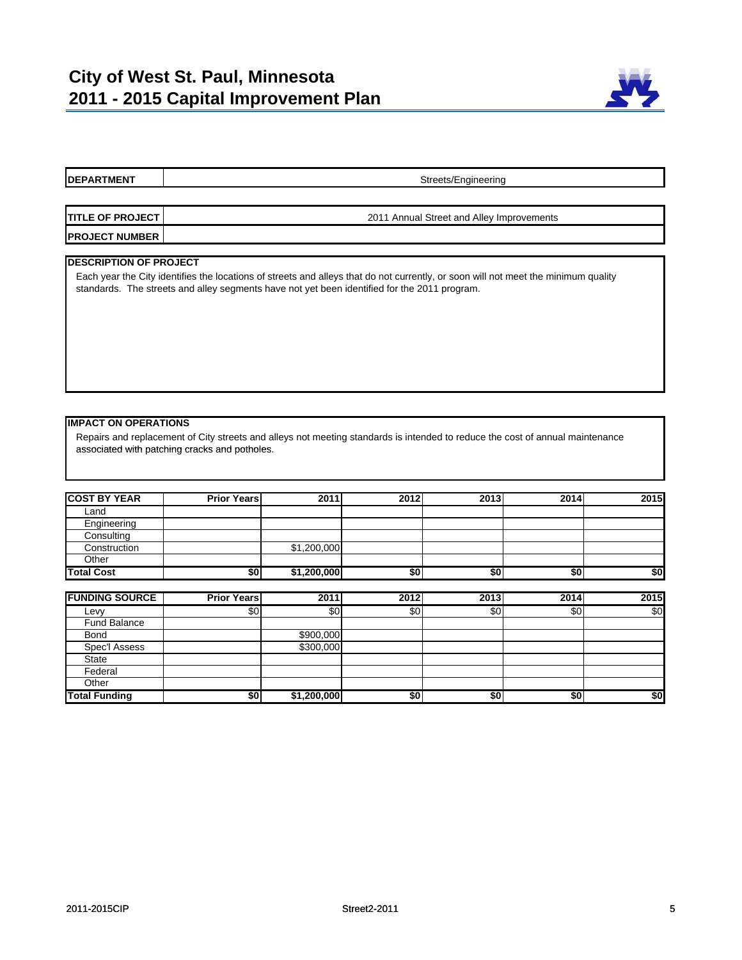

#### **DEPARTMENT** Streets/Engineering

| <b>TITLE OF PROJECT I</b> | 2011 Annual Street and Alley Improvements |
|---------------------------|-------------------------------------------|
| <b>PROJECT NUMBER</b>     |                                           |

#### **DESCRIPTION OF PROJECT**

Each year the City identifies the locations of streets and alleys that do not currently, or soon will not meet the minimum quality standards. The streets and alley segments have not yet been identified for the 2011 program.

#### **IMPACT ON OPERATIONS**

Repairs and replacement of City streets and alleys not meeting standards is intended to reduce the cost of annual maintenance associated with patching cracks and potholes associated with patching cracks and potholes.

| <b>COST BY YEAR</b> | <b>Prior Years</b> | 2011        | 2012 | 2013 | 2014 | 2015 |
|---------------------|--------------------|-------------|------|------|------|------|
| Land                |                    |             |      |      |      |      |
| Engineering         |                    |             |      |      |      |      |
| Consulting          |                    |             |      |      |      |      |
| Construction        |                    | \$1,200,000 |      |      |      |      |
| Other               |                    |             |      |      |      |      |
| <b>Total Cost</b>   | \$0                | \$1,200,000 | \$0  | \$0  | \$0  | \$0  |

| <b>FUNDING SOURCE</b> | <b>Prior Years</b> | 2011        | 2012 | 2013 | 2014 | 2015 |
|-----------------------|--------------------|-------------|------|------|------|------|
| Levy                  | \$0                | \$0         | \$0  | \$0  | \$0  | \$0  |
| <b>Fund Balance</b>   |                    |             |      |      |      |      |
| <b>Bond</b>           |                    | \$900,000   |      |      |      |      |
| Spec'l Assess         |                    | \$300,000   |      |      |      |      |
| <b>State</b>          |                    |             |      |      |      |      |
| Federal               |                    |             |      |      |      |      |
| Other                 |                    |             |      |      |      |      |
| <b>Total Funding</b>  | \$0                | \$1,200,000 | \$0  | \$0  | \$0  | \$0  |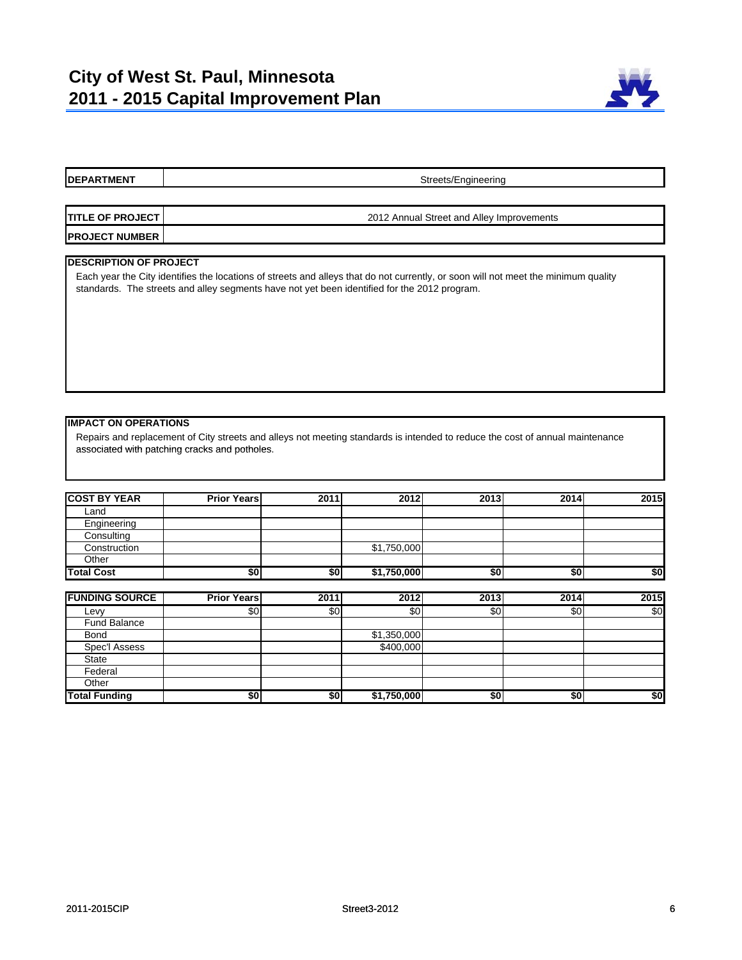

#### **DEPARTMENT** Streets/Engineering

| <b>ITITLE OF PROJECT I</b> | 2012 Annual Street and Alley Improvements |
|----------------------------|-------------------------------------------|
| <b>IPROJECT NUMBER</b>     |                                           |

#### **DESCRIPTION OF PROJECT**

Each year the City identifies the locations of streets and alleys that do not currently, or soon will not meet the minimum quality standards. The streets and alley segments have not yet been identified for the 2012 program.

#### **IMPACT ON OPERATIONS**

Repairs and replacement of City streets and alleys not meeting standards is intended to reduce the cost of annual maintenance associated with patching cracks and potholes associated with patching cracks and potholes.

| <b>COST BY YEAR</b> | <b>Prior Years</b> | 2011 | 2012        | 2013 | 2014 | 2015 |
|---------------------|--------------------|------|-------------|------|------|------|
| Land                |                    |      |             |      |      |      |
| Engineering         |                    |      |             |      |      |      |
| Consulting          |                    |      |             |      |      |      |
| Construction        |                    |      | \$1,750,000 |      |      |      |
| Other               |                    |      |             |      |      |      |
| <b>Total Cost</b>   | \$0                | \$0  | \$1,750,000 | \$0  | \$0  | \$0  |

| <b>FUNDING SOURCE</b> | <b>Prior Years</b> | 2011 | 2012        | 2013 | 2014 | 2015 |
|-----------------------|--------------------|------|-------------|------|------|------|
| Levy                  | \$0                | \$0  | \$0         | \$0  | \$0  | \$0  |
| <b>Fund Balance</b>   |                    |      |             |      |      |      |
| <b>Bond</b>           |                    |      | \$1,350,000 |      |      |      |
| Spec'l Assess         |                    |      | \$400,000   |      |      |      |
| <b>State</b>          |                    |      |             |      |      |      |
| Federal               |                    |      |             |      |      |      |
| Other                 |                    |      |             |      |      |      |
| <b>Total Funding</b>  | \$0                | \$0  | \$1,750,000 | \$0  | \$0  | \$0  |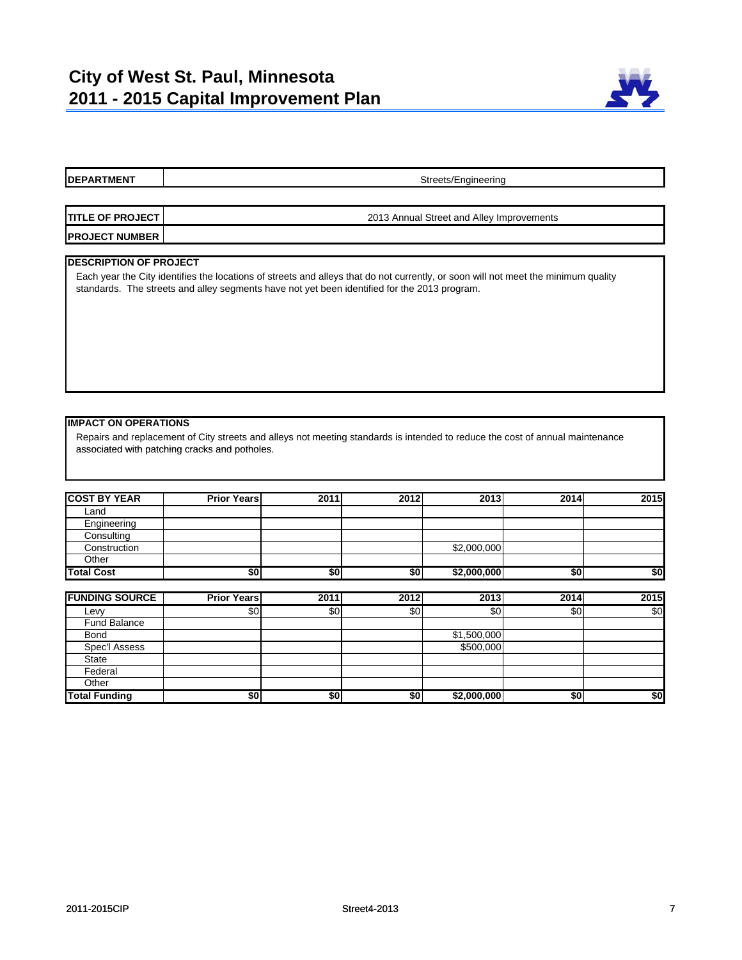

#### **DEPARTMENT** Streets/Engineering

| <b>ITITLE OF PROJECT I</b> | 2013 Annual Street and Alley Improvements |
|----------------------------|-------------------------------------------|
| <b>PROJECT NUMBER</b>      |                                           |

#### **DESCRIPTION OF PROJECT**

Each year the City identifies the locations of streets and alleys that do not currently, or soon will not meet the minimum quality standards. The streets and alley segments have not yet been identified for the 2013 program.

#### **IMPACT ON OPERATIONS**

Repairs and replacement of City streets and alleys not meeting standards is intended to reduce the cost of annual maintenance associated with patching cracks and potholes associated with patching cracks and potholes.

| <b>COST BY YEAR</b> | <b>Prior Years</b> | 2011 | 2012 | 2013        | 2014 | 2015 |
|---------------------|--------------------|------|------|-------------|------|------|
| Land                |                    |      |      |             |      |      |
| Engineering         |                    |      |      |             |      |      |
| Consulting          |                    |      |      |             |      |      |
| Construction        |                    |      |      | \$2,000,000 |      |      |
| Other               |                    |      |      |             |      |      |
| <b>Total Cost</b>   | \$0                | \$0  | \$0  | \$2,000,000 | \$0  | \$0  |

| <b>FUNDING SOURCE</b> | <b>Prior Years</b> | 2011 | 2012 | 2013        | 2014 | 2015 |
|-----------------------|--------------------|------|------|-------------|------|------|
| Levy                  | \$0                | \$0  | \$0  | \$0         | \$0  | \$0  |
| <b>Fund Balance</b>   |                    |      |      |             |      |      |
| <b>Bond</b>           |                    |      |      | \$1,500,000 |      |      |
| Spec'l Assess         |                    |      |      | \$500,000   |      |      |
| <b>State</b>          |                    |      |      |             |      |      |
| Federal               |                    |      |      |             |      |      |
| Other                 |                    |      |      |             |      |      |
| <b>Total Funding</b>  | \$0                | \$0  | \$0  | \$2,000,000 | \$0  | \$0  |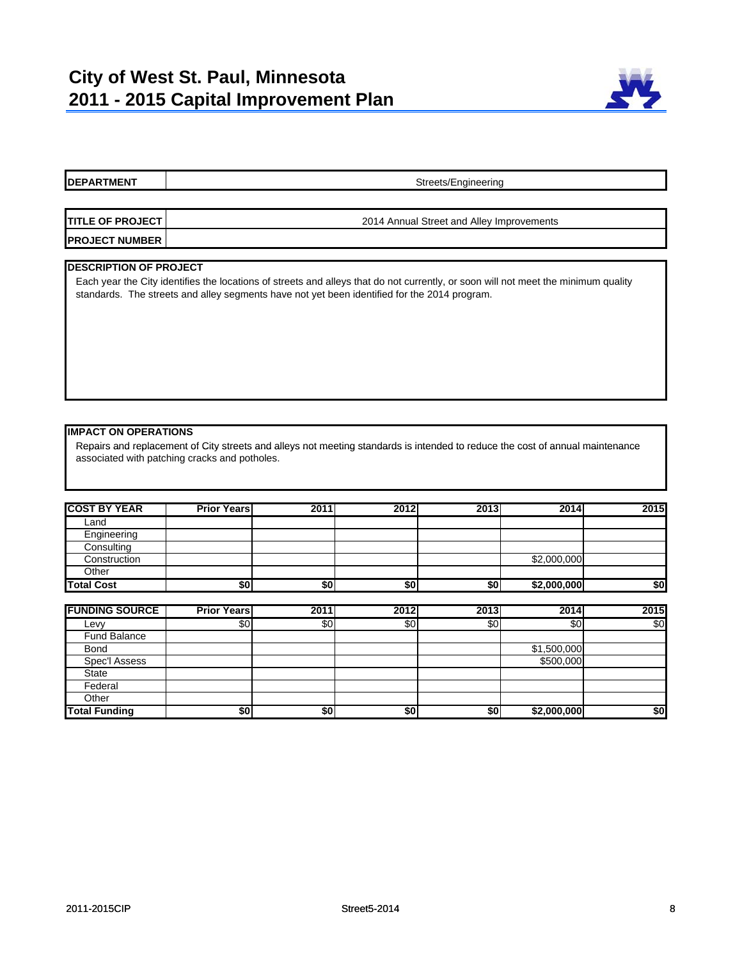

# **DEPARTMENT TITLE OF PROJECT PROJECT NUMBER DESCRIPTION OF PROJECT** Streets/Engineering 2014 Annual Street and Alley Improvements Each year the City identifies the locations of streets and alleys that do not currently, or soon will not meet the minimum quality standards. The streets and alley segments have not yet been identified for the 2014 program.

#### **IMPACT ON OPERATIONS**

Repairs and replacement of City streets and alleys not meeting standards is intended to reduce the cost of annual maintenance associated with patching cracks and potholes.

| <b>COST BY YEAR</b> | <b>Prior Years</b> | 2011 | 2012 | 2013 | 2014        | 2015 |
|---------------------|--------------------|------|------|------|-------------|------|
| Land                |                    |      |      |      |             |      |
| Engineering         |                    |      |      |      |             |      |
| Consulting          |                    |      |      |      |             |      |
| Construction        |                    |      |      |      | \$2,000,000 |      |
| Other               |                    |      |      |      |             |      |
| <b>Total Cost</b>   | \$0                | \$0  | \$0  | \$0  | \$2,000,000 | \$0  |

| <b>FUNDING SOURCE</b> | <b>Prior Years</b> | 2011 | 2012 | 2013 | 2014        | 2015 |
|-----------------------|--------------------|------|------|------|-------------|------|
| Levy                  | \$0                | \$0  | \$0  | \$0  | \$0         | \$0  |
| <b>Fund Balance</b>   |                    |      |      |      |             |      |
| <b>Bond</b>           |                    |      |      |      | \$1,500,000 |      |
| Spec'l Assess         |                    |      |      |      | \$500,000   |      |
| <b>State</b>          |                    |      |      |      |             |      |
| Federal               |                    |      |      |      |             |      |
| Other                 |                    |      |      |      |             |      |
| <b>Total Funding</b>  | \$0                | \$0  | \$0  | \$0  | \$2,000,000 | \$0  |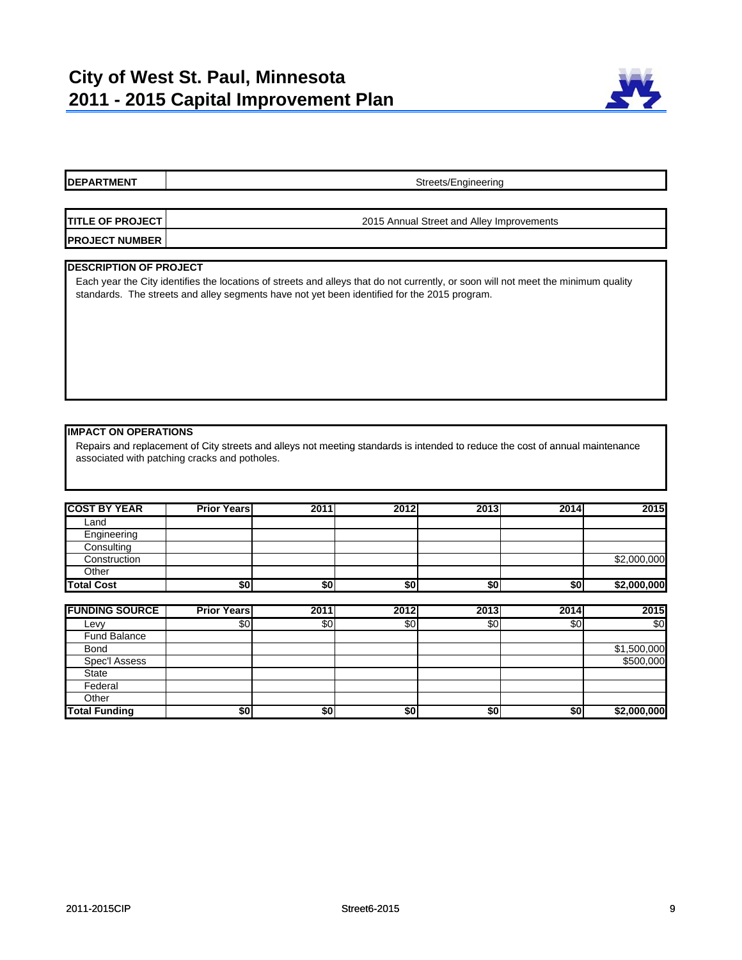

## **DEPARTMENT TITLE OF PROJECT PROJECT NUMBER DESCRIPTION OF PROJECT** Streets/Engineering 2015 Annual Street and Alley Improvements Each year the City identifies the locations of streets and alleys that do not currently, or soon will not meet the minimum quality standards. The streets and alley segments have not yet been identified for the 2015 program.

# **IMPACT ON OPERATIONS**

Repairs and replacement of City streets and alleys not meeting standards is intended to reduce the cost of annual maintenance associated with patching cracks and potholes.

| <b>COST BY YEAR</b> | <b>Prior Years</b> | 2011 | 2012 | 2013 | 2014 | 2015        |
|---------------------|--------------------|------|------|------|------|-------------|
| Land                |                    |      |      |      |      |             |
| Engineering         |                    |      |      |      |      |             |
| Consulting          |                    |      |      |      |      |             |
| Construction        |                    |      |      |      |      | \$2,000,000 |
| Other               |                    |      |      |      |      |             |
| <b>Total Cost</b>   | \$0                | \$0  | \$0  | \$0  | \$0  | \$2,000,000 |

| <b>FUNDING SOURCE</b> | <b>Prior Years</b> | 2011 | 2012 | 2013 | 2014 | 2015          |
|-----------------------|--------------------|------|------|------|------|---------------|
| Levy                  | \$0                | \$0  | \$0  | \$0  | \$0  | $\frac{6}{3}$ |
| <b>Fund Balance</b>   |                    |      |      |      |      |               |
| <b>Bond</b>           |                    |      |      |      |      | \$1,500,000   |
| Spec'l Assess         |                    |      |      |      |      | \$500,000     |
| State                 |                    |      |      |      |      |               |
| Federal               |                    |      |      |      |      |               |
| Other                 |                    |      |      |      |      |               |
| <b>Total Funding</b>  | \$0                | \$0  | \$0  | \$0  | \$0  | \$2,000,000   |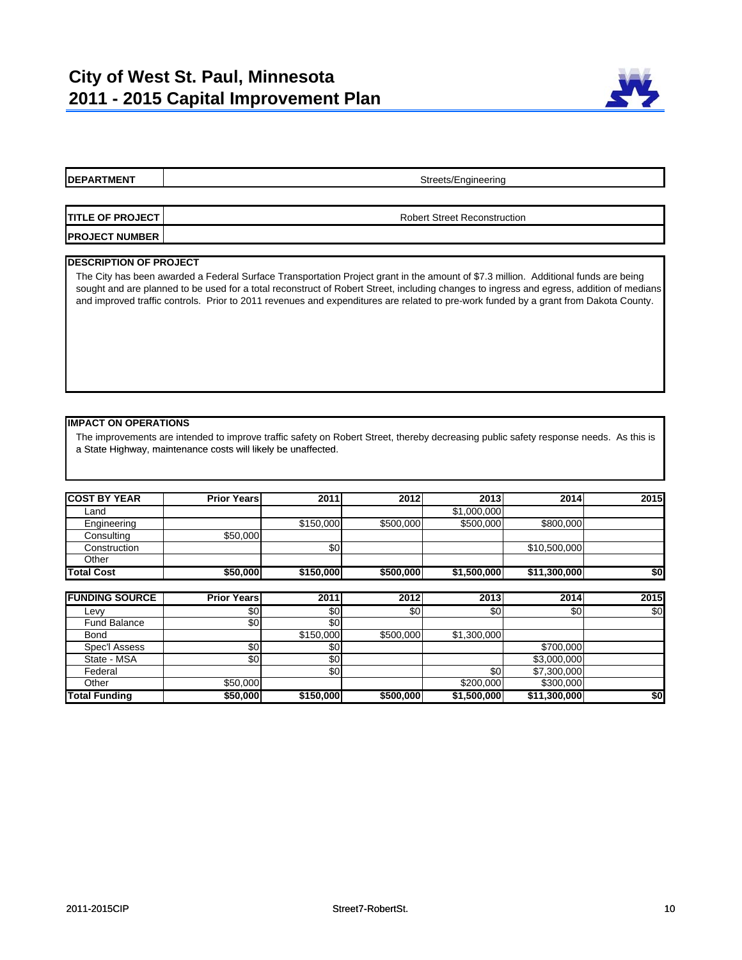

Streets/Engineering

**TITLE OF PROJECT PROJECT NUMBER** Robert Street Reconstruction

#### **DESCRIPTION OF PROJECT**

The City has been awarded a Federal Surface Transportation Project grant in the amount of \$7.3 million. Additional funds are being sought and are planned to be used for a total reconstruct of Robert Street, including changes to ingress and egress, addition of medians and improved traffic controls. Prior to 2011 revenues and expenditures are related to pre-work funded by a grant from Dakota County.

#### **IMPACT ON OPERATIONS**

The improvements are intended to improve traffic safety on Robert Street, thereby decreasing public safety response needs. As this is a State Highway, maintenance costs will likely be unaffected.

| <b>COST BY YEAR</b> | <b>Prior Years</b> | 2011      | 2012      | 2013        | 2014         | <b>2015</b> |
|---------------------|--------------------|-----------|-----------|-------------|--------------|-------------|
| ∟and                |                    |           |           | \$1,000,000 |              |             |
| Engineering         |                    | \$150,000 | \$500,000 | \$500,000   | \$800,000    |             |
| Consulting          | \$50,000           |           |           |             |              |             |
| Construction        |                    | \$0l      |           |             | \$10,500,000 |             |
| Other               |                    |           |           |             |              |             |
| <b>Total Cost</b>   | \$50,000           | \$150,000 | \$500,000 | \$1,500,000 | \$11,300,000 | \$0         |

| <b>FUNDING SOURCE</b> | <b>Prior Years</b> | 2011             | 2012      | 2013        | 2014         | 2015 |
|-----------------------|--------------------|------------------|-----------|-------------|--------------|------|
| Levy                  | \$0                | \$0              | \$0       | \$0         | \$0          | \$0  |
| <b>Fund Balance</b>   | \$0                | \$0              |           |             |              |      |
| <b>Bond</b>           |                    | \$150,000        | \$500,000 | \$1,300,000 |              |      |
| Spec'l Assess         | \$0                | \$0 <sub>1</sub> |           |             | \$700,000    |      |
| State - MSA           | \$0                | \$0              |           |             | \$3,000,000  |      |
| Federal               |                    | \$0 <sub>1</sub> |           | \$0         | \$7,300,000  |      |
| Other                 | \$50,000           |                  |           | \$200,000   | \$300,000    |      |
| <b>Total Funding</b>  | \$50,000           | \$150,000        | \$500,000 | \$1,500,000 | \$11,300,000 | \$0  |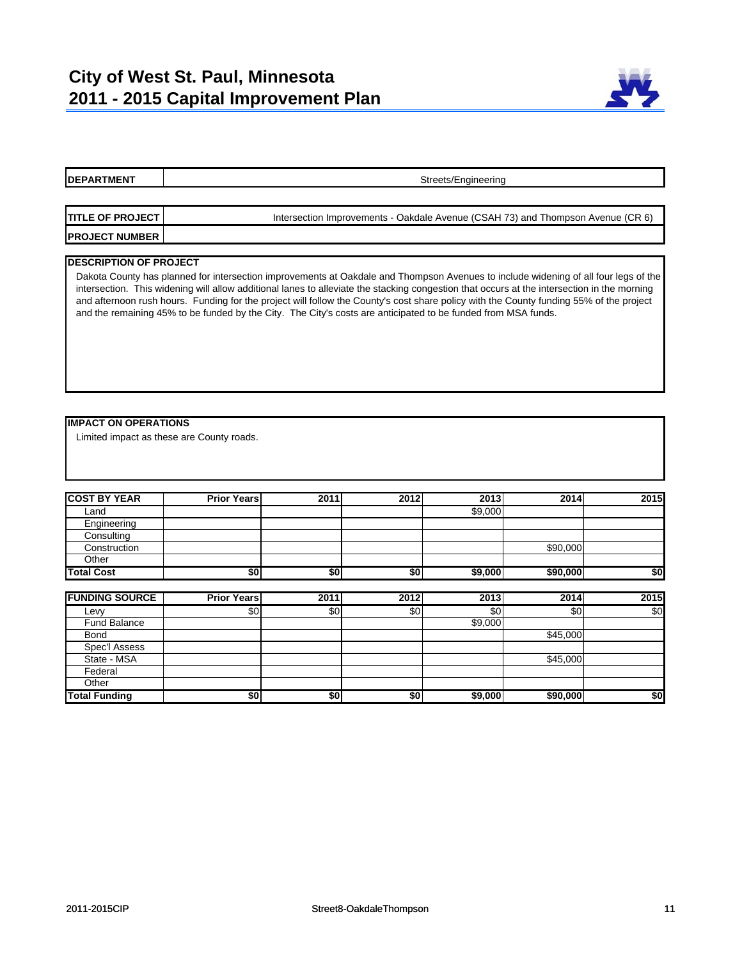

# **DEPARTMENT TITLE OF PROJECT PROJECT NUMBER DESCRIPTION OF PROJECT IMPACT ON OPERATIONS** Streets/Engineering Intersection Improvements - Oakdale Avenue (CSAH 73) and Thompson Avenue (CR 6) Dakota County has planned for intersection improvements at Oakdale and Thompson Avenues to include widening of all four legs of the intersection. This widening will allow additional lanes to alleviate the stacking congestion that occurs at the intersection in the morning and afternoon rush hours. Funding for the project will follow the County's cost share policy with the County funding 55% of the project and the remaining 45% to be funded by the City. The City's costs are anticipated to be funded from MSA funds. Limited impact as these are County roads.

| <b>COST BY YEAR</b> | <b>Prior Years</b> | 2011 | 2012 | 2013    | 2014     | 2015 |
|---------------------|--------------------|------|------|---------|----------|------|
| Land                |                    |      |      | \$9,000 |          |      |
| Engineering         |                    |      |      |         |          |      |
| Consulting          |                    |      |      |         |          |      |
| Construction        |                    |      |      |         | \$90,000 |      |
| Other               |                    |      |      |         |          |      |
| <b>Total Cost</b>   | \$0                | \$0  | \$0  | \$9,000 | \$90,000 | \$0  |

| <b>FUNDING SOURCE</b> | <b>Prior Years</b> | 2011 | 2012 | 2013    | 2014     | 2015 |
|-----------------------|--------------------|------|------|---------|----------|------|
| Levy                  | \$0                | \$0  | \$0  | \$0     | \$0      | \$0  |
| <b>Fund Balance</b>   |                    |      |      | \$9,000 |          |      |
| <b>Bond</b>           |                    |      |      |         | \$45,000 |      |
| Spec'l Assess         |                    |      |      |         |          |      |
| State - MSA           |                    |      |      |         | \$45,000 |      |
| Federal               |                    |      |      |         |          |      |
| Other                 |                    |      |      |         |          |      |
| <b>Total Funding</b>  | \$0                | \$0  | \$0  | \$9,000 | \$90,000 | \$0  |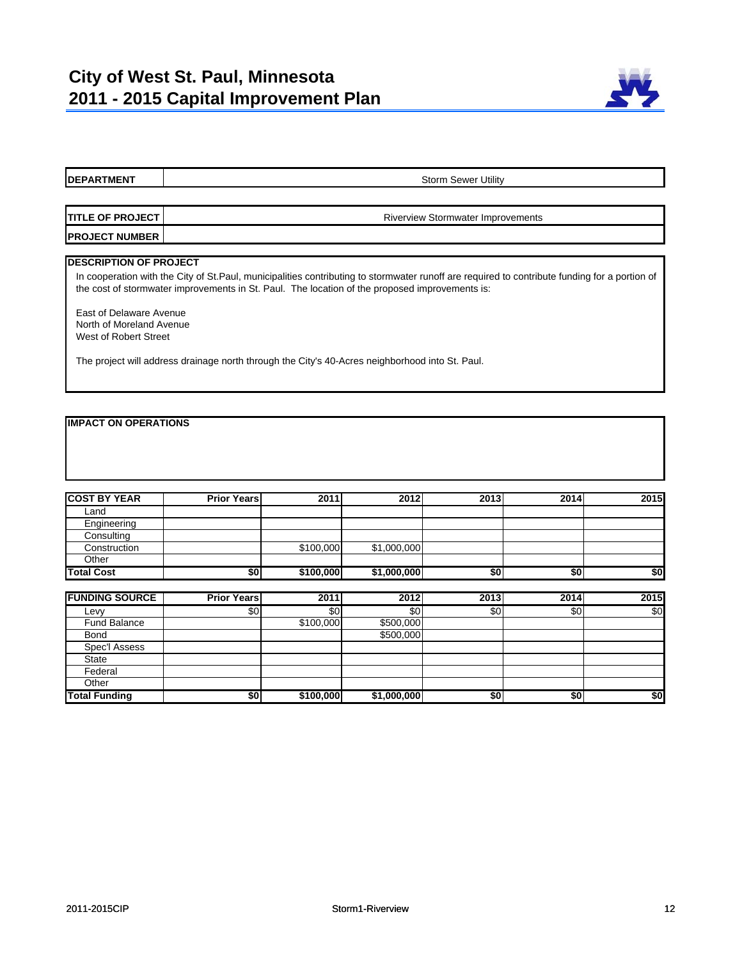

## **DEPARTMENT TITLE OF PROJECT PROJECT NUMBER DESCRIPTION OF PROJECT** Storm Sewer Utility Riverview Stormwater Improvements In cooperation with the City of St.Paul, municipalities contributing to stormwater runoff are required to contribute funding for a portion of the cost of stormwater improvements in St. Paul. The location of the proposed improvements is: East of Delaware Avenue North of Moreland Avenue West of Robert Street

The project will address drainage north through the City's 40-Acres neighborhood into St. Paul.

### **IMPACT ON OPERATIONS**

| <b>COST BY YEAR</b> | <b>Prior Years</b> | 2011      | 2012        | 2013 | 2014 | 2015 |
|---------------------|--------------------|-----------|-------------|------|------|------|
| Land                |                    |           |             |      |      |      |
| Engineering         |                    |           |             |      |      |      |
| Consulting          |                    |           |             |      |      |      |
| Construction        |                    | \$100,000 | \$1,000,000 |      |      |      |
| Other               |                    |           |             |      |      |      |
| <b>Total Cost</b>   | \$0                | \$100,000 | \$1,000,000 | \$0  | \$0  | \$0  |

| <b>FUNDING SOURCE</b> | <b>Prior Years</b> | 2011      | 2012        | 2013 | 2014 | 2015 |
|-----------------------|--------------------|-----------|-------------|------|------|------|
| Levv                  | \$0                | \$0       | \$0         | \$0  | \$0  | \$0  |
| <b>Fund Balance</b>   |                    | \$100,000 | \$500,000   |      |      |      |
| <b>Bond</b>           |                    |           | \$500,000   |      |      |      |
| Spec'l Assess         |                    |           |             |      |      |      |
| <b>State</b>          |                    |           |             |      |      |      |
| Federal               |                    |           |             |      |      |      |
| Other                 |                    |           |             |      |      |      |
| <b>Total Funding</b>  | \$0                | \$100,000 | \$1,000,000 | \$0  | \$0  | \$0  |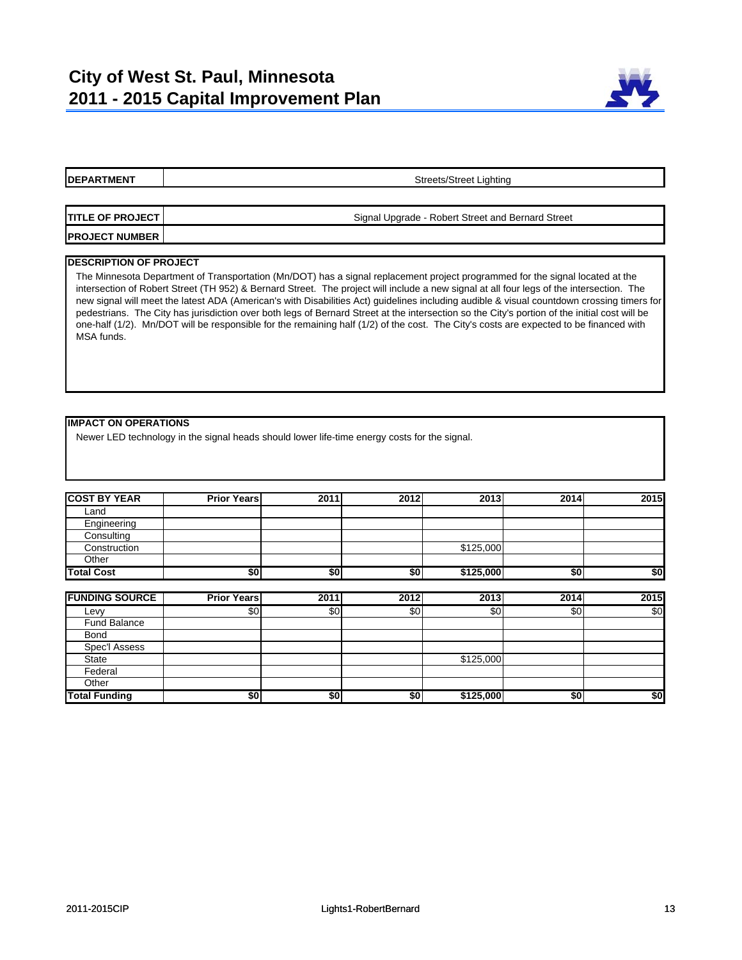

Streets/Street Lighting

**TITLE OF PROJECT PROJECT NUMBER** Signal Upgrade - Robert Street and Bernard Street

#### **DESCRIPTION OF PROJECT**

The Minnesota Department of Transportation (Mn/DOT) has a signal replacement project programmed for the signal located at the intersection of Robert Street (TH 952) & Bernard Street. The project will include a new signal at all four legs of the intersection. The new signal will meet the latest ADA (American's with Disabilities Act) guidelines including audible & visual countdown crossing timers for pedestrians. The City has jurisdiction over both legs of Bernard Street at the intersection so the City's portion of the initial cost will be one-half (1/2). Mn/DOT will be responsible for the remaining half (1/2) of the cost. The City's costs are expected to be financed with MSA funds.

#### **IMPACT ON OPERATIONS**

Newer LED technology in the signal heads should lower life-time energy costs for the signal.

| <b>COST BY YEAR</b> | <b>Prior Years</b> | 2011 | 2012 | 2013      | 2014 | 2015 |
|---------------------|--------------------|------|------|-----------|------|------|
| Land                |                    |      |      |           |      |      |
| Engineering         |                    |      |      |           |      |      |
| Consulting          |                    |      |      |           |      |      |
| Construction        |                    |      |      | \$125,000 |      |      |
| Other               |                    |      |      |           |      |      |
| <b>Total Cost</b>   | \$0                | \$0  | \$0  | \$125,000 | \$0  | \$0  |

| <b>FUNDING SOURCE</b> | <b>Prior Years</b> | 2011             | 2012 | 2013      | 2014 | 2015 |
|-----------------------|--------------------|------------------|------|-----------|------|------|
| Levy                  | \$0                | \$0              | \$0  | \$0       | \$0  | \$0  |
| <b>Fund Balance</b>   |                    |                  |      |           |      |      |
| <b>Bond</b>           |                    |                  |      |           |      |      |
| Spec'l Assess         |                    |                  |      |           |      |      |
| <b>State</b>          |                    |                  |      | \$125,000 |      |      |
| Federal               |                    |                  |      |           |      |      |
| Other                 |                    |                  |      |           |      |      |
| <b>Total Funding</b>  | \$0                | \$0 <sub>1</sub> | \$0  | \$125,000 | \$0  | \$0  |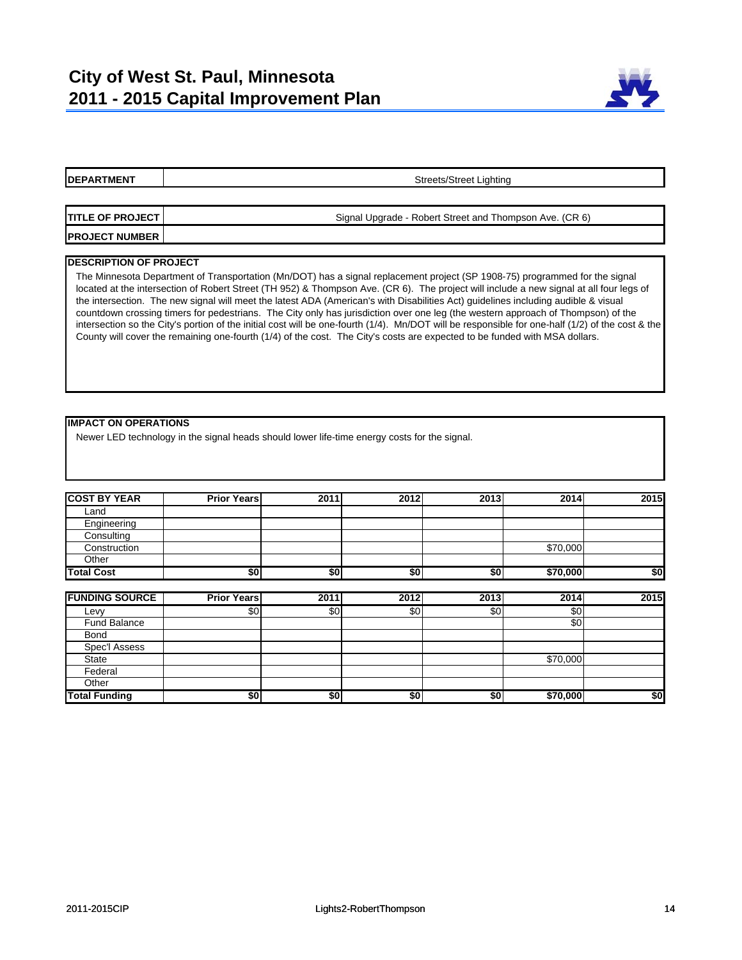

Streets/Street Lighting

| <b>ITITLE OF PROJECT I</b> | Signal Upgrade - Robert Street and Thompson Ave. (CR 6) |
|----------------------------|---------------------------------------------------------|
| <b>PROJECT NUMBER</b>      |                                                         |

#### **DESCRIPTION OF PROJECT**

The Minnesota Department of Transportation (Mn/DOT) has a signal replacement project (SP 1908-75) programmed for the signal located at the intersection of Robert Street (TH 952) & Thompson Ave. (CR 6). The project will include a new signal at all four legs of the intersection. The new signal will meet the latest ADA (American's with Disabilities Act) guidelines including audible & visual countdown crossing timers for pedestrians. The City only has jurisdiction over one leg (the western approach of Thompson) of the intersection so the City's portion of the initial cost will be one-fourth (1/4). Mn/DOT will be responsible for one-half (1/2) of the cost & the County will cover the remaining one-fourth (1/4) of the cost. The City's costs are expected to be funded with MSA dollars.

#### **IMPACT ON OPERATIONS**

Newer LED technology in the signal heads should lower life-time energy costs for the signal.

| <b>COST BY YEAR</b> | <b>Prior Years</b> | 2011 | 2012 | 2013 | 2014     | 2015 |
|---------------------|--------------------|------|------|------|----------|------|
| Land                |                    |      |      |      |          |      |
| Engineering         |                    |      |      |      |          |      |
| Consulting          |                    |      |      |      |          |      |
| Construction        |                    |      |      |      | \$70,000 |      |
| Other               |                    |      |      |      |          |      |
| <b>Total Cost</b>   | \$0                | \$0  | \$0  | \$0  | \$70,000 | \$0  |

| <b>FUNDING SOURCE</b> | <b>Prior Years</b> | 2011 | 2012 | 2013 | 2014     | 2015 |
|-----------------------|--------------------|------|------|------|----------|------|
| Levy                  | \$0                | \$0  | \$0  | \$0  | \$0      |      |
| Fund Balance          |                    |      |      |      | \$0      |      |
| <b>Bond</b>           |                    |      |      |      |          |      |
| Spec'l Assess         |                    |      |      |      |          |      |
| <b>State</b>          |                    |      |      |      | \$70,000 |      |
| Federal               |                    |      |      |      |          |      |
| Other                 |                    |      |      |      |          |      |
| <b>Total Funding</b>  | \$0                | \$0  | \$0  | \$0  | \$70,000 | \$0  |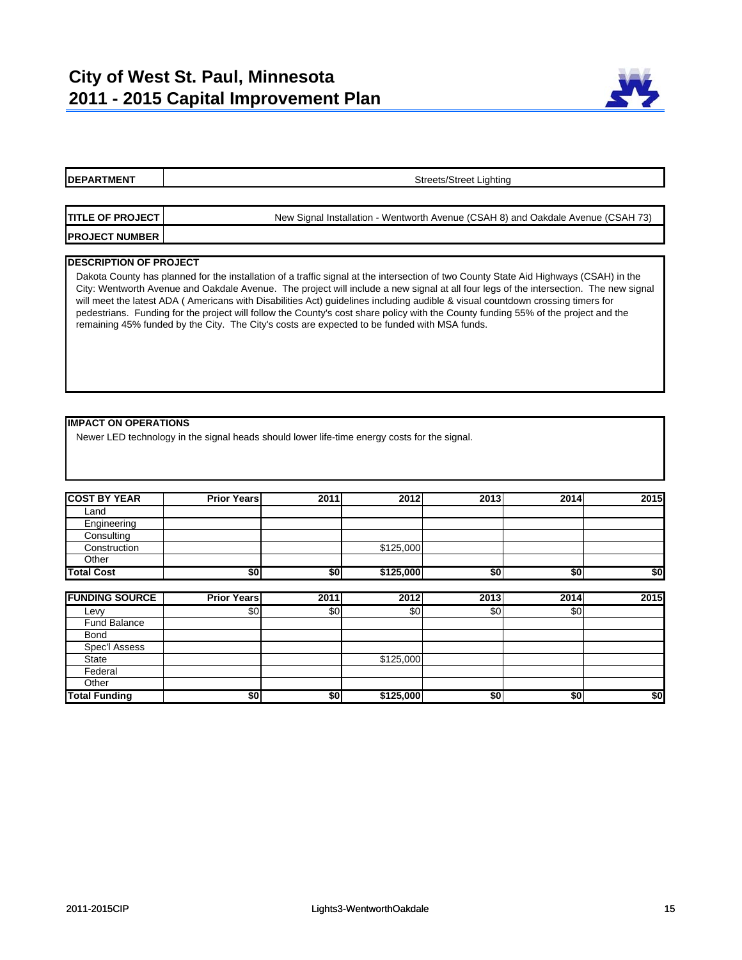

| <b>IDEPARTMENT</b>      | Streets/Street Lighting                                                          |  |  |  |  |  |  |
|-------------------------|----------------------------------------------------------------------------------|--|--|--|--|--|--|
|                         |                                                                                  |  |  |  |  |  |  |
| <b>TITLE OF PROJECT</b> | New Signal Installation - Wentworth Avenue (CSAH 8) and Oakdale Avenue (CSAH 73) |  |  |  |  |  |  |
| <b>PROJECT NUMBER</b>   |                                                                                  |  |  |  |  |  |  |
|                         |                                                                                  |  |  |  |  |  |  |

#### **DESCRIPTION OF PROJECT**

**DEPARTMENT** 

Dakota County has planned for the installation of a traffic signal at the intersection of two County State Aid Highways (CSAH) in the City: Wentworth Avenue and Oakdale Avenue. The project will include a new signal at all four legs of the intersection. The new signal will meet the latest ADA ( Americans with Disabilities Act) guidelines including audible & visual countdown crossing timers for pedestrians. Funding for the project will follow the County's cost share policy with the County funding 55% of the project and the remaining 45% funded by the City. The City's costs are expected to be funded with MSA funds.

#### **IMPACT ON OPERATIONS**

Newer LED technology in the signal heads should lower life-time energy costs for the signal.

| <b>COST BY YEAR</b> | <b>Prior Years</b> | 2011 | 2012      | 2013 | 2014 | 2015 |
|---------------------|--------------------|------|-----------|------|------|------|
| Land                |                    |      |           |      |      |      |
| Engineering         |                    |      |           |      |      |      |
| Consulting          |                    |      |           |      |      |      |
| Construction        |                    |      | \$125,000 |      |      |      |
| Other               |                    |      |           |      |      |      |
| <b>Total Cost</b>   | \$0                | \$0  | \$125,000 | \$0  | \$0  | \$0  |

| <b>FUNDING SOURCE</b> | <b>Prior Years</b> | 2011 | $\overline{2012}$ | 2013 | 2014 | 2015 |
|-----------------------|--------------------|------|-------------------|------|------|------|
| Levy                  | \$0                | \$0  | \$0               | \$0  | \$0  |      |
| Fund Balance          |                    |      |                   |      |      |      |
| <b>Bond</b>           |                    |      |                   |      |      |      |
| Spec'l Assess         |                    |      |                   |      |      |      |
| <b>State</b>          |                    |      | \$125,000         |      |      |      |
| Federal               |                    |      |                   |      |      |      |
| Other                 |                    |      |                   |      |      |      |
| <b>Total Funding</b>  | \$0                | \$0  | \$125,000         | \$0  | \$0  | \$0  |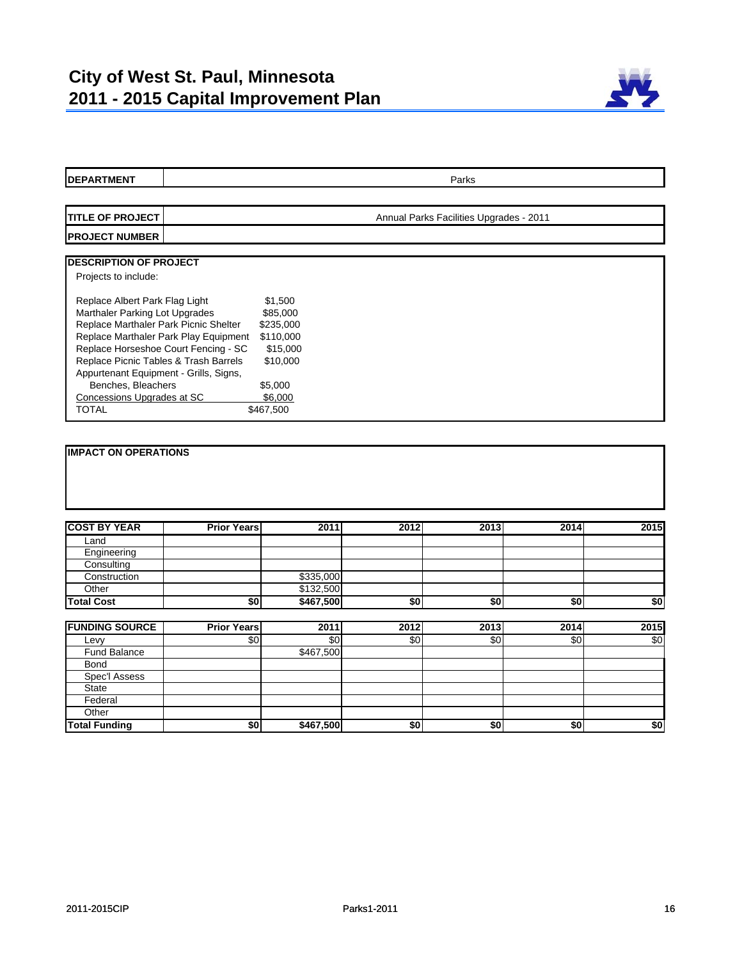

| <b>DEPARTMENT</b>                                     | Parks                                   |           |                 |      |                 |      |  |
|-------------------------------------------------------|-----------------------------------------|-----------|-----------------|------|-----------------|------|--|
|                                                       |                                         |           |                 |      |                 |      |  |
| <b>TITLE OF PROJECT</b>                               | Annual Parks Facilities Upgrades - 2011 |           |                 |      |                 |      |  |
| <b>PROJECT NUMBER</b>                                 |                                         |           |                 |      |                 |      |  |
|                                                       |                                         |           |                 |      |                 |      |  |
| <b>DESCRIPTION OF PROJECT</b><br>Projects to include: |                                         |           |                 |      |                 |      |  |
|                                                       |                                         |           |                 |      |                 |      |  |
| Replace Albert Park Flag Light                        |                                         | \$1,500   |                 |      |                 |      |  |
| Marthaler Parking Lot Upgrades                        |                                         | \$85,000  |                 |      |                 |      |  |
| Replace Marthaler Park Picnic Shelter                 |                                         | \$235,000 |                 |      |                 |      |  |
| Replace Marthaler Park Play Equipment                 |                                         | \$110,000 |                 |      |                 |      |  |
| Replace Horseshoe Court Fencing - SC                  |                                         | \$15,000  |                 |      |                 |      |  |
| Replace Picnic Tables & Trash Barrels                 |                                         | \$10,000  |                 |      |                 |      |  |
| Appurtenant Equipment - Grills, Signs,                |                                         |           |                 |      |                 |      |  |
| Benches, Bleachers                                    | \$5,000                                 |           |                 |      |                 |      |  |
| Concessions Upgrades at SC<br><b>TOTAL</b>            | \$6,000<br>\$467,500                    |           |                 |      |                 |      |  |
|                                                       |                                         |           |                 |      |                 |      |  |
|                                                       |                                         |           |                 |      |                 |      |  |
| <b>COST BY YEAR</b>                                   | <b>Prior Years</b>                      | 2011      | 2012            | 2013 | 2014            | 2015 |  |
| Land                                                  |                                         |           |                 |      |                 |      |  |
| Engineering                                           |                                         |           |                 |      |                 |      |  |
| Consulting                                            |                                         |           |                 |      |                 |      |  |
| Construction                                          |                                         | \$335,000 |                 |      |                 |      |  |
| Other                                                 |                                         | \$132,500 |                 |      |                 |      |  |
| <b>Total Cost</b>                                     | 50                                      | \$467,500 | $\overline{50}$ | \$0  | $\overline{50}$ | \$0  |  |
| <b>FUNDING SOURCE</b>                                 | <b>Prior Years</b>                      | 2011      | 2012            | 2013 | 2014            | 2015 |  |
| Levy                                                  | \$0                                     | \$0       | \$0             | \$0  | \$0             | \$0  |  |
| <b>Fund Balance</b>                                   |                                         | \$467,500 |                 |      |                 |      |  |
| Bond                                                  |                                         |           |                 |      |                 |      |  |
| Spec'l Assess                                         |                                         |           |                 |      |                 |      |  |
| <b>State</b>                                          |                                         |           |                 |      |                 |      |  |
| Federal                                               |                                         |           |                 |      |                 |      |  |
| Other                                                 |                                         |           |                 |      |                 |      |  |
| <b>Total Funding</b>                                  | \$0                                     | \$467,500 | \$0             | \$0  | \$0             | \$0  |  |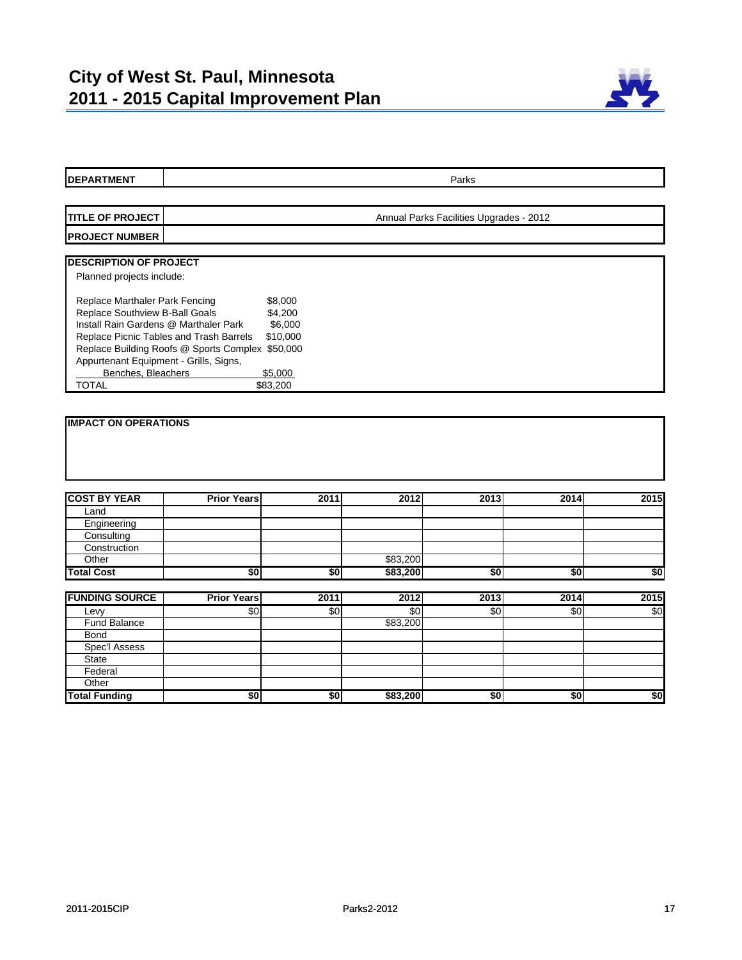

| <b>DEPARTMENT</b>                       | Parks                                                        |                 |            |      |                 |      |
|-----------------------------------------|--------------------------------------------------------------|-----------------|------------|------|-----------------|------|
|                                         |                                                              |                 |            |      |                 |      |
| <b>TITLE OF PROJECT</b>                 | Annual Parks Facilities Upgrades - 2012                      |                 |            |      |                 |      |
| <b>PROJECT NUMBER</b>                   |                                                              |                 |            |      |                 |      |
| <b>DESCRIPTION OF PROJECT</b>           |                                                              |                 |            |      |                 |      |
| Planned projects include:               |                                                              |                 |            |      |                 |      |
| Replace Marthaler Park Fencing          | \$8,000                                                      |                 |            |      |                 |      |
| Replace Southview B-Ball Goals          | \$4,200                                                      |                 |            |      |                 |      |
| Install Rain Gardens @ Marthaler Park   | \$6,000                                                      |                 |            |      |                 |      |
| Replace Picnic Tables and Trash Barrels | \$10,000<br>Replace Building Roofs @ Sports Complex \$50,000 |                 |            |      |                 |      |
| Appurtenant Equipment - Grills, Signs,  |                                                              |                 |            |      |                 |      |
| Benches, Bleachers                      | \$5,000                                                      |                 |            |      |                 |      |
| <b>TOTAL</b>                            | \$83,200                                                     |                 |            |      |                 |      |
|                                         |                                                              |                 |            |      |                 |      |
| <b>COST BY YEAR</b>                     | <b>Prior Years</b>                                           | 2011            | 2012       | 2013 | 2014            | 2015 |
| Land                                    |                                                              |                 |            |      |                 |      |
| Engineering                             |                                                              |                 |            |      |                 |      |
| Consulting<br>Construction              |                                                              |                 |            |      |                 |      |
| Other                                   |                                                              |                 | \$83,200   |      |                 |      |
| <b>Total Cost</b>                       | \$0                                                          | \$0             | \$83,200   | \$0  | \$0             | \$0  |
|                                         |                                                              |                 |            |      |                 |      |
| <b>FUNDING SOURCE</b>                   | <b>Prior Years</b>                                           | 2011            | 2012       | 2013 | 2014            | 2015 |
| Levy                                    | \$0                                                          | \$0             | $\sqrt{6}$ | \$0  | \$0             | \$0  |
| <b>Fund Balance</b>                     |                                                              |                 | \$83,200   |      |                 |      |
| Bond                                    |                                                              |                 |            |      |                 |      |
| <b>Spec'l Assess</b>                    |                                                              |                 |            |      |                 |      |
| State                                   |                                                              |                 |            |      |                 |      |
| Federal                                 |                                                              |                 |            |      |                 |      |
| Other                                   |                                                              |                 |            |      |                 |      |
| <b>Total Funding</b>                    | \$0                                                          | $\overline{50}$ | \$83,200   | \$0  | $\overline{50}$ | \$0  |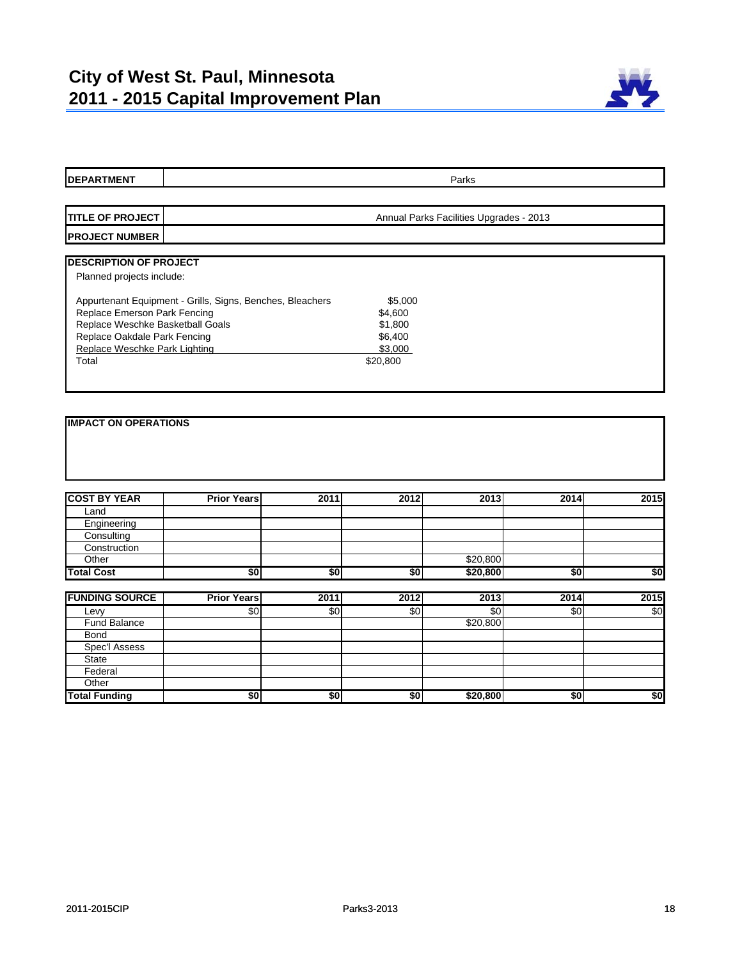

| <b>DEPARTMENT</b>                |                                                           |            |            | Parks                                   |      |      |
|----------------------------------|-----------------------------------------------------------|------------|------------|-----------------------------------------|------|------|
|                                  |                                                           |            |            |                                         |      |      |
| <b>ITITLE OF PROJECT</b>         |                                                           |            |            | Annual Parks Facilities Upgrades - 2013 |      |      |
| <b>PROJECT NUMBER</b>            |                                                           |            |            |                                         |      |      |
|                                  |                                                           |            |            |                                         |      |      |
| <b>DESCRIPTION OF PROJECT</b>    |                                                           |            |            |                                         |      |      |
| Planned projects include:        |                                                           |            |            |                                         |      |      |
|                                  | Appurtenant Equipment - Grills, Signs, Benches, Bleachers |            | \$5,000    |                                         |      |      |
| Replace Emerson Park Fencing     |                                                           |            | \$4,600    |                                         |      |      |
| Replace Weschke Basketball Goals |                                                           |            | \$1,800    |                                         |      |      |
| Replace Oakdale Park Fencing     |                                                           |            | \$6,400    |                                         |      |      |
| Replace Weschke Park Lighting    |                                                           |            | \$3,000    |                                         |      |      |
| Total                            |                                                           |            | \$20,800   |                                         |      |      |
|                                  |                                                           |            |            |                                         |      |      |
|                                  |                                                           |            |            |                                         |      |      |
| <b>IMPACT ON OPERATIONS</b>      |                                                           |            |            |                                         |      |      |
| <b>COST BY YEAR</b>              | <b>Prior Years</b>                                        | 2011       | 2012       | 2013                                    | 2014 | 2015 |
| Land                             |                                                           |            |            |                                         |      |      |
| Engineering                      |                                                           |            |            |                                         |      |      |
| Consulting                       |                                                           |            |            |                                         |      |      |
| Construction                     |                                                           |            |            |                                         |      |      |
| Other                            |                                                           |            |            | \$20,800                                |      |      |
| <b>Total Cost</b>                | \$0                                                       | \$0        | \$0        | \$20,800                                | \$0  | \$0  |
|                                  |                                                           |            |            |                                         |      |      |
| <b>FUNDING SOURCE</b>            | <b>Prior Years</b>                                        | 2011       | 2012       | 2013                                    | 2014 | 2015 |
| Levy                             | \$0                                                       | $\sqrt{6}$ | $\sqrt{6}$ | $\sqrt{6}$                              | \$0  | \$0  |
| <b>Fund Balance</b>              |                                                           |            |            | \$20,800                                |      |      |
| <b>Bond</b>                      |                                                           |            |            |                                         |      |      |
| <b>Spec'l Assess</b>             |                                                           |            |            |                                         |      |      |
| <b>State</b>                     |                                                           |            |            |                                         |      |      |
| Federal<br>Other                 |                                                           |            |            |                                         |      |      |
|                                  |                                                           |            |            |                                         |      |      |

**Total Funding \$0 \$0 \$0 \$20,800 \$0 \$0**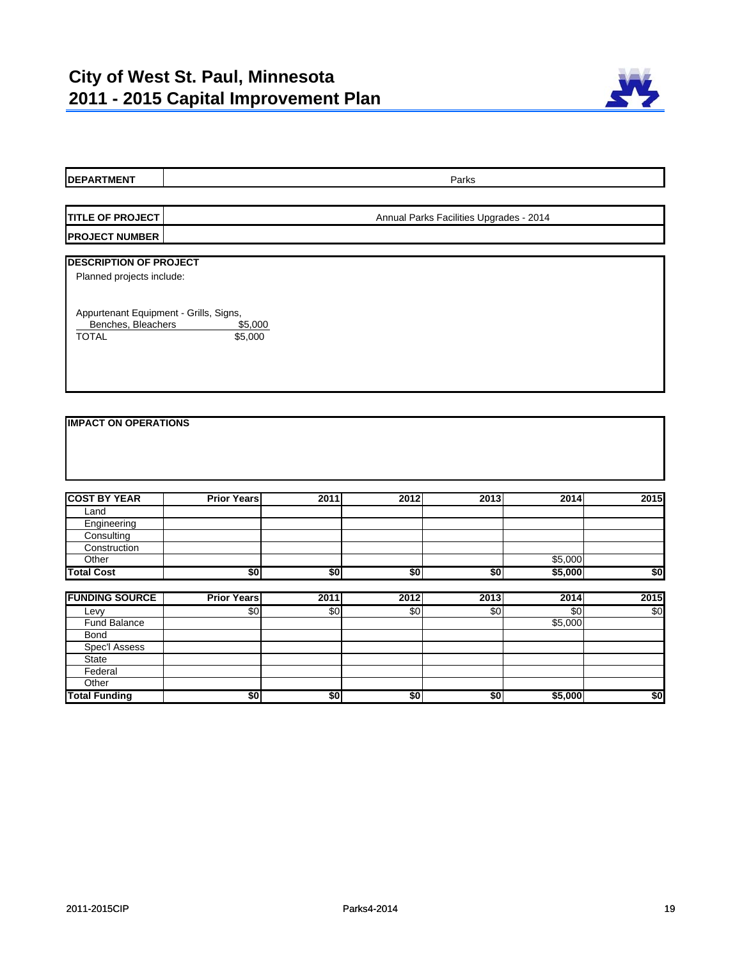

| <b>DEPARTMENT</b>                      |                    |      |                 | Parks                                   |                 |      |  |  |
|----------------------------------------|--------------------|------|-----------------|-----------------------------------------|-----------------|------|--|--|
|                                        |                    |      |                 |                                         |                 |      |  |  |
| <b>TITLE OF PROJECT</b>                |                    |      |                 | Annual Parks Facilities Upgrades - 2014 |                 |      |  |  |
| <b>PROJECT NUMBER</b>                  |                    |      |                 |                                         |                 |      |  |  |
| <b>DESCRIPTION OF PROJECT</b>          |                    |      |                 |                                         |                 |      |  |  |
| Planned projects include:              |                    |      |                 |                                         |                 |      |  |  |
|                                        |                    |      |                 |                                         |                 |      |  |  |
| Appurtenant Equipment - Grills, Signs, |                    |      |                 |                                         |                 |      |  |  |
| Benches, Bleachers                     | \$5,000            |      |                 |                                         |                 |      |  |  |
| <b>TOTAL</b>                           | \$5,000            |      |                 |                                         |                 |      |  |  |
|                                        |                    |      |                 |                                         |                 |      |  |  |
|                                        |                    |      |                 |                                         |                 |      |  |  |
|                                        |                    |      |                 |                                         |                 |      |  |  |
|                                        |                    |      |                 |                                         |                 |      |  |  |
| <b>IMPACT ON OPERATIONS</b>            |                    |      |                 |                                         |                 |      |  |  |
|                                        |                    |      |                 |                                         |                 |      |  |  |
|                                        |                    |      |                 |                                         |                 |      |  |  |
|                                        |                    |      |                 |                                         |                 |      |  |  |
|                                        |                    |      |                 |                                         |                 |      |  |  |
| <b>COST BY YEAR</b>                    | <b>Prior Years</b> | 2011 | 2012            | 2013                                    | 2014            | 2015 |  |  |
| Land                                   |                    |      |                 |                                         |                 |      |  |  |
| Engineering                            |                    |      |                 |                                         |                 |      |  |  |
| Consulting                             |                    |      |                 |                                         |                 |      |  |  |
| Construction                           |                    |      |                 |                                         |                 |      |  |  |
| Other                                  |                    |      |                 |                                         | \$5,000         |      |  |  |
| <b>Total Cost</b>                      | \$0                | \$0  | \$0             | \$0                                     | \$5,000         | \$0  |  |  |
| <b>FUNDING SOURCE</b>                  | <b>Prior Years</b> | 2011 | 2012            | 2013                                    | 2014            | 2015 |  |  |
| Levy                                   | \$0                | \$0  | $\overline{50}$ | \$0                                     | $\overline{50}$ | \$0  |  |  |
| <b>Fund Balance</b>                    |                    |      |                 |                                         | \$5,000         |      |  |  |
| <b>Bond</b>                            |                    |      |                 |                                         |                 |      |  |  |
| <b>Spec'l Assess</b>                   |                    |      |                 |                                         |                 |      |  |  |
| <b>State</b>                           |                    |      |                 |                                         |                 |      |  |  |

Federal **Other** 

**Total Funding \$0 \$0 \$0 \$0 \$5,000 \$0**